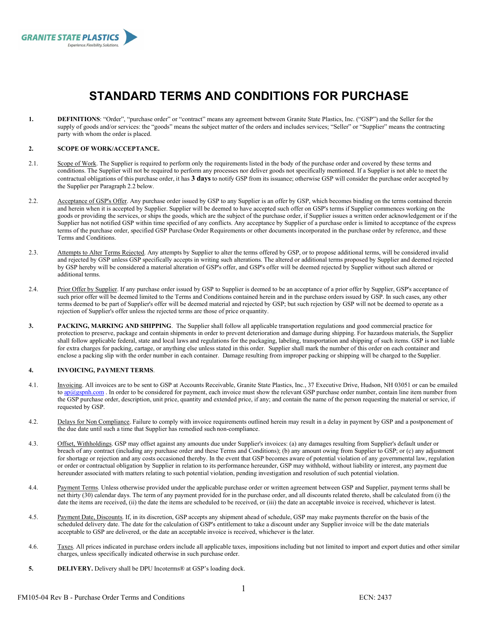

# STANDARD TERMS AND CONDITIONS FOR PURCHASE

1. DEFINITIONS: "Order", "purchase order" or "contract" means any agreement between Granite State Plastics, Inc. ("GSP") and the Seller for the supply of goods and/or services: the "goods" means the subject matter of the orders and includes services; "Seller" or "Supplier" means the contracting party with whom the order is placed.

## 2. SCOPE OF WORK/ACCEPTANCE.

- 2.1. Scope of Work. The Supplier is required to perform only the requirements listed in the body of the purchase order and covered by these terms and conditions. The Supplier will not be required to perform any processes nor deliver goods not specifically mentioned. If a Supplier is not able to meet the contractual obligations of this purchase order, it has 3 days to notify GSP from its issuance; otherwise GSP will consider the purchase order accepted by the Supplier per Paragraph 2.2 below.
- 2.2. Acceptance of GSP's Offer. Any purchase order issued by GSP to any Supplier is an offer by GSP, which becomes binding on the terms contained therein and herein when it is accepted by Supplier. Supplier will be deemed to have accepted such offer on GSP's terms if Supplier commences working on the goods or providing the services, or ships the goods, which are the subject of the purchase order, if Supplier issues a written order acknowledgement or if the Supplier has not notified GSP within time specified of any conflicts. Any acceptance by Supplier of a purchase order is limited to acceptance of the express terms of the purchase order, specified GSP Purchase Order Requirements or other documents incorporated in the purchase order by reference, and these Terms and Conditions.
- 2.3. Attempts to Alter Terms Rejected. Any attempts by Supplier to alter the terms offered by GSP, or to propose additional terms, will be considered invalid and rejected by GSP unless GSP specifically accepts in writing such alterations. The altered or additional terms proposed by Supplier and deemed rejected by GSP hereby will be considered a material alteration of GSP's offer, and GSP's offer will be deemed rejected by Supplier without such altered or additional terms.
- 2.4. Prior Offer by Supplier. If any purchase order issued by GSP to Supplier is deemed to be an acceptance of a prior offer by Supplier, GSP's acceptance of such prior offer will be deemed limited to the Terms and Conditions contained herein and in the purchase orders issued by GSP. In such cases, any other terms deemed to be part of Supplier's offer will be deemed material and rejected by GSP; but such rejection by GSP will not be deemed to operate as a rejection of Supplier's offer unless the rejected terms are those of price or quantity.
- 3. PACKING, MARKING AND SHIPPING. The Supplier shall follow all applicable transportation regulations and good commercial practice for protection to preserve, package and contain shipments in order to prevent deterioration and damage during shipping. For hazardous materials, the Supplier shall follow applicable federal, state and local laws and regulations for the packaging, labeling, transportation and shipping of such items. GSP is not liable for extra charges for packing, cartage, or anything else unless stated in this order. Supplier shall mark the number of this order on each container and enclose a packing slip with the order number in each container. Damage resulting from improper packing or shipping will be charged to the Supplier.

### 4. INVOICING, PAYMENT TERMS.

- 4.1. Invoicing. All invoices are to be sent to GSP at Accounts Receivable, Granite State Plastics, Inc., 37 Executive Drive, Hudson, NH 03051 or can be emailed to ap@gspnh.com. In order to be considered for payment, each invoice must show the relevant GSP purchase order number, contain line item number from the GSP purchase order, description, unit price, quantity and extended price, if any; and contain the name of the person requesting the material or service, if requested by GSP.
- 4.2. Delays for Non Compliance. Failure to comply with invoice requirements outlined herein may result in a delay in payment by GSP and a postponement of the due date until such a time that Supplier has remedied such non-compliance.
- 4.3. Offset, Withholdings. GSP may offset against any amounts due under Supplier's invoices: (a) any damages resulting from Supplier's default under or breach of any contract (including any purchase order and these Terms and Conditions); (b) any amount owing from Supplier to GSP; or (c) any adjustment for shortage or rejection and any costs occasioned thereby. In the event that GSP becomes aware of potential violation of any governmental law, regulation or order or contractual obligation by Supplier in relation to its performance hereunder, GSP may withhold, without liability or interest, any payment due hereunder associated with matters relating to such potential violation, pending investigation and resolution of such potential violation.
- 4.4. Payment Terms. Unless otherwise provided under the applicable purchase order or written agreement between GSP and Supplier, payment terms shall be net thirty (30) calendar days. The term of any payment provided for in the purchase order, and all discounts related thereto, shall be calculated from (i) the date the items are received, (ii) the date the items are scheduled to be received, or (iii) the date an acceptable invoice is received, whichever is latest.
- 4.5. Payment Date, Discounts. If, in its discretion, GSP accepts any shipment ahead of schedule, GSP may make payments therefor on the basis of the scheduled delivery date. The date for the calculation of GSP's entitlement to take a discount under any Supplier invoice will be the date materials acceptable to GSP are delivered, or the date an acceptable invoice is received, whichever is the later.
- 4.6. Taxes. All prices indicated in purchase orders include all applicable taxes, impositions including but not limited to import and export duties and other similar charges, unless specifically indicated otherwise in such purchase order.
- 5. DELIVERY. Delivery shall be DPU Incoterms® at GSP's loading dock.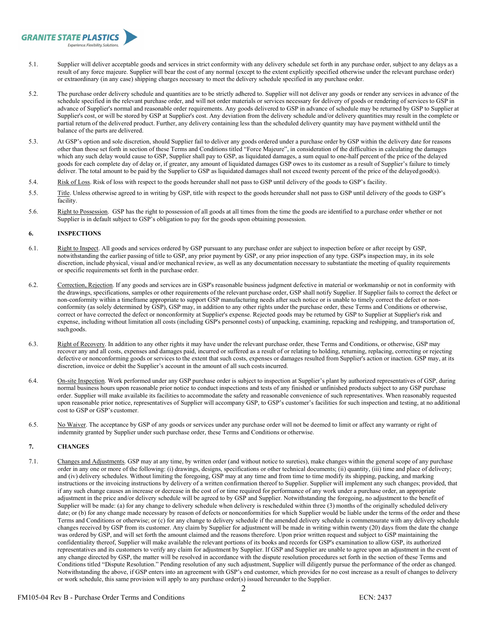

- 5.1. Supplier will deliver acceptable goods and services in strict conformity with any delivery schedule set forth in any purchase order, subject to any delays as a result of any force majeure. Supplier will bear the cost of any normal (except to the extent explicitly specified otherwise under the relevant purchase order) or extraordinary (in any case) shipping charges necessary to meet the delivery schedule specified in any purchase order.
- 5.2. The purchase order delivery schedule and quantities are to be strictly adhered to. Supplier will not deliver any goods or render any services in advance of the schedule specified in the relevant purchase order, and will not order materials or services necessary for delivery of goods or rendering of services to GSP in advance of Supplier's normal and reasonable order requirements. Any goods delivered to GSP in advance of schedule may be returned by GSP to Supplier at Supplier's cost, or will be stored by GSP at Supplier's cost. Any deviation from the delivery schedule and/or delivery quantities may result in the complete or partial return of the delivered product. Further, any delivery containing less than the scheduled delivery quantity may have payment withheld until the balance of the parts are delivered.
- 5.3. At GSP's option and sole discretion, should Supplier fail to deliver any goods ordered under a purchase order by GSP within the delivery date for reasons other than those set forth in section of these Terms and Conditions titled "Force Majeure", in consideration of the difficulties in calculating the damages which any such delay would cause to GSP, Supplier shall pay to GSP, as liquidated damages, a sum equal to one-half percent of the price of the delayed goods for each complete day of delay or, if greater, any amount of liquidated damages GSP owes to its customer as a result of Supplier's failure to timely deliver. The total amount to be paid by the Supplier to GSP as liquidated damages shall not exceed twenty percent of the price of the delayed good(s).
- 5.4. Risk of Loss. Risk of loss with respect to the goods hereunder shall not pass to GSP until delivery of the goods to GSP's facility.
- 5.5. Title. Unless otherwise agreed to in writing by GSP, title with respect to the goods hereunder shall not pass to GSP until delivery of the goods to GSP's facility.
- 5.6. Right to Possession. GSP has the right to possession of all goods at all times from the time the goods are identified to a purchase order whether or not Supplier is in default subject to GSP's obligation to pay for the goods upon obtaining possession.

## 6. INSPECTIONS

- 6.1. Right to Inspect. All goods and services ordered by GSP pursuant to any purchase order are subject to inspection before or after receipt by GSP, notwithstanding the earlier passing of title to GSP, any prior payment by GSP, or any prior inspection of any type. GSP's inspection may, in its sole discretion, include physical, visual and/or mechanical review, as well as any documentation necessary to substantiate the meeting of quality requirements or specific requirements set forth in the purchase order.
- 6.2. Correction, Rejection. If any goods and services are in GSP's reasonable business judgment defective in material or workmanship or not in conformity with the drawings, specifications, samples or other requirements of the relevant purchase order, GSP shall notify Supplier. If Supplier fails to correct the defect or non-conformity within a timeframe appropriate to support GSP manufacturing needs after such notice or is unable to timely correct the defect or nonconformity (as solely determined by GSP), GSP may, in addition to any other rights under the purchase order, these Terms and Conditions or otherwise, correct or have corrected the defect or nonconformity at Supplier's expense. Rejected goods may be returned by GSP to Supplier at Supplier's risk and expense, including without limitation all costs (including GSP's personnel costs) of unpacking, examining, repacking and reshipping, and transportation of, such goods.
- 6.3. Right of Recovery. In addition to any other rights it may have under the relevant purchase order, these Terms and Conditions, or otherwise, GSP may recover any and all costs, expenses and damages paid, incurred or suffered as a result of or relating to holding, returning, replacing, correcting or rejecting defective or nonconforming goods or services to the extent that such costs, expenses or damages resulted from Supplier's action or inaction. GSP may, at its discretion, invoice or debit the Supplier's account in the amount of all such costs incurred.
- 6.4. On-site Inspection. Work performed under any GSP purchase order is subject to inspection at Supplier's plant by authorized representatives of GSP, during normal business hours upon reasonable prior notice to conduct inspections and tests of any finished or unfinished products subject to any GSP purchase order. Supplier will make available its facilities to accommodate the safety and reasonable convenience of such representatives. When reasonably requested upon reasonable prior notice, representatives of Supplier will accompany GSP, to GSP's customer's facilities for such inspection and testing, at no additional cost to GSP or GSP's customer.
- 6.5. No Waiver. The acceptance by GSP of any goods or services under any purchase order will not be deemed to limit or affect any warranty or right of indemnity granted by Supplier under such purchase order, these Terms and Conditions or otherwise.

#### 7. CHANGES

7.1. Changes and Adjustments. GSP may at any time, by written order (and without notice to sureties), make changes within the general scope of any purchase order in any one or more of the following: (i) drawings, designs, specifications or other technical documents; (ii) quantity, (iii) time and place of delivery; and (iv) delivery schedules. Without limiting the foregoing, GSP may at any time and from time to time modify its shipping, packing, and marking instructions or the invoicing instructions by delivery of a written confirmation thereof to Supplier. Supplier will implement any such changes; provided, that if any such change causes an increase or decrease in the cost of or time required for performance of any work under a purchase order, an appropriate adjustment in the price and/or delivery schedule will be agreed to by GSP and Supplier. Notwithstanding the foregoing, no adjustment to the benefit of Supplier will be made: (a) for any change to delivery schedule when delivery is rescheduled within three (3) months of the originally scheduled delivery date; or (b) for any change made necessary by reason of defects or nonconformities for which Supplier would be liable under the terms of the order and these Terms and Conditions or otherwise; or (c) for any change to delivery schedule if the amended delivery schedule is commensurate with any delivery schedule changes received by GSP from its customer. Any claim by Supplier for adjustment will be made in writing within twenty (20) days from the date the change was ordered by GSP, and will set forth the amount claimed and the reasons therefore. Upon prior written request and subject to GSP maintaining the confidentiality thereof, Supplier will make available the relevant portions of its books and records for GSP's examination to allow GSP, its authorized representatives and its customers to verify any claim for adjustment by Supplier. If GSP and Supplier are unable to agree upon an adjustment in the event of any change directed by GSP, the matter will be resolved in accordance with the dispute resolution procedures set forth in the section of these Terms and Conditions titled "Dispute Resolution." Pending resolution of any such adjustment, Supplier will diligently pursue the performance of the order as changed. Notwithstanding the above, if GSP enters into an agreement with GSP's end customer, which provides for no cost increase as a result of changes to delivery or work schedule, this same provision will apply to any purchase order(s) issued hereunder to the Supplier.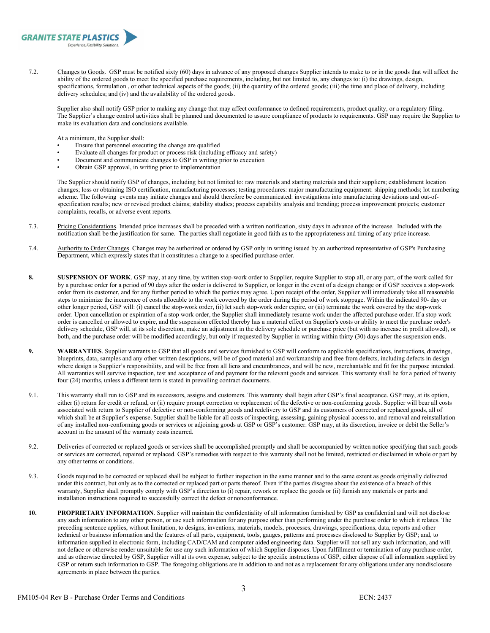

7.2. Changes to Goods. GSP must be notified sixty (60) days in advance of any proposed changes Supplier intends to make to or in the goods that will affect the ability of the ordered goods to meet the specified purchase requirements, including, but not limited to, any changes to: (i) the drawings, design, specifications, formulation, or other technical aspects of the goods; (ii) the quantity of the ordered goods; (iii) the time and place of delivery, including delivery schedules; and (iv) and the availability of the ordered goods.

Supplier also shall notify GSP prior to making any change that may affect conformance to defined requirements, product quality, or a regulatory filing. The Supplier's change control activities shall be planned and documented to assure compliance of products to requirements. GSP may require the Supplier to make its evaluation data and conclusions available.

At a minimum, the Supplier shall:

- Ensure that personnel executing the change are qualified
- Evaluate all changes for product or process risk (including efficacy and safety)
- Document and communicate changes to GSP in writing prior to execution
- Obtain GSP approval, in writing prior to implementation

The Supplier should notify GSP of changes, including but not limited to: raw materials and starting materials and their suppliers; establishment location changes; loss or obtaining ISO certification, manufacturing processes; testing procedures: major manufacturing equipment: shipping methods; lot numbering scheme. The following events may initiate changes and should therefore be communicated: investigations into manufacturing deviations and out-ofspecification results; new or revised product claims; stability studies; process capability analysis and trending; process improvement projects; customer complaints, recalls, or adverse event reports.

- 7.3. Pricing Considerations. Intended price increases shall be preceded with a written notification, sixty days in advance of the increase. Included with the notification shall be the justification for same. The parties shall negotiate in good faith as to the appropriateness and timing of any price increase.
- 7.4. Authority to Order Changes. Changes may be authorized or ordered by GSP only in writing issued by an authorized representative of GSP's Purchasing Department, which expressly states that it constitutes a change to a specified purchase order.
- 8. SUSPENSION OF WORK. GSP may, at any time, by written stop-work order to Supplier, require Supplier to stop all, or any part, of the work called for by a purchase order for a period of 90 days after the order is delivered to Supplier, or longer in the event of a design change or if GSP receives a stop-work order from its customer, and for any further period to which the parties may agree. Upon receipt of the order, Supplier will immediately take all reasonable steps to minimize the incurrence of costs allocable to the work covered by the order during the period of work stoppage. Within the indicated 90- day or other longer period, GSP will: (i) cancel the stop-work order, (ii) let such stop-work order expire, or (iii) terminate the work covered by the stop-work order. Upon cancellation or expiration of a stop work order, the Supplier shall immediately resume work under the affected purchase order. If a stop work order is cancelled or allowed to expire, and the suspension effected thereby has a material effect on Supplier's costs or ability to meet the purchase order's delivery schedule, GSP will, at its sole discretion, make an adjustment in the delivery schedule or purchase price (but with no increase in profit allowed), or both, and the purchase order will be modified accordingly, but only if requested by Supplier in writing within thirty (30) days after the suspension ends.
- 9. WARRANTIES. Supplier warrants to GSP that all goods and services furnished to GSP will conform to applicable specifications, instructions, drawings, blueprints, data, samples and any other written descriptions, will be of good material and workmanship and free from defects, including defects in design where design is Supplier's responsibility, and will be free from all liens and encumbrances, and will be new, merchantable and fit for the purpose intended. All warranties will survive inspection, test and acceptance of and payment for the relevant goods and services. This warranty shall be for a period of twenty four (24) months, unless a different term is stated in prevailing contract documents.
- 9.1. This warranty shall run to GSP and its successors, assigns and customers. This warranty shall begin after GSP's final acceptance. GSP may, at its option, either (i) return for credit or refund, or (ii) require prompt correction or replacement of the defective or non-conforming goods. Supplier will bear all costs associated with return to Supplier of defective or non-conforming goods and redelivery to GSP and its customers of corrected or replaced goods, all of which shall be at Supplier's expense. Supplier shall be liable for all costs of inspecting, assessing, gaining physical access to, and removal and reinstallation of any installed non-conforming goods or services or adjoining goods at GSP or GSP's customer. GSP may, at its discretion, invoice or debit the Seller's account in the amount of the warranty costs incurred.
- 9.2. Deliveries of corrected or replaced goods or services shall be accomplished promptly and shall be accompanied by written notice specifying that such goods or services are corrected, repaired or replaced. GSP's remedies with respect to this warranty shall not be limited, restricted or disclaimed in whole or part by any other terms or conditions.
- 9.3. Goods required to be corrected or replaced shall be subject to further inspection in the same manner and to the same extent as goods originally delivered under this contract, but only as to the corrected or replaced part or parts thereof. Even if the parties disagree about the existence of a breach of this warranty, Supplier shall promptly comply with GSP's direction to (i) repair, rework or replace the goods or (ii) furnish any materials or parts and installation instructions required to successfully correct the defect or nonconformance.
- 10. PROPRIETARY INFORMATION. Supplier will maintain the confidentiality of all information furnished by GSP as confidential and will not disclose any such information to any other person, or use such information for any purpose other than performing under the purchase order to which it relates. The preceding sentence applies, without limitation, to designs, inventions, materials, models, processes, drawings, specifications, data, reports and other technical or business information and the features of all parts, equipment, tools, gauges, patterns and processes disclosed to Supplier by GSP; and, to information supplied in electronic form, including CAD/CAM and computer aided engineering data. Supplier will not sell any such information, and will not deface or otherwise render unsuitable for use any such information of which Supplier disposes. Upon fulfillment or termination of any purchase order, and as otherwise directed by GSP, Supplier will at its own expense, subject to the specific instructions of GSP, either dispose of all information supplied by GSP or return such information to GSP. The foregoing obligations are in addition to and not as a replacement for any obligations under any nondisclosure agreements in place between the parties.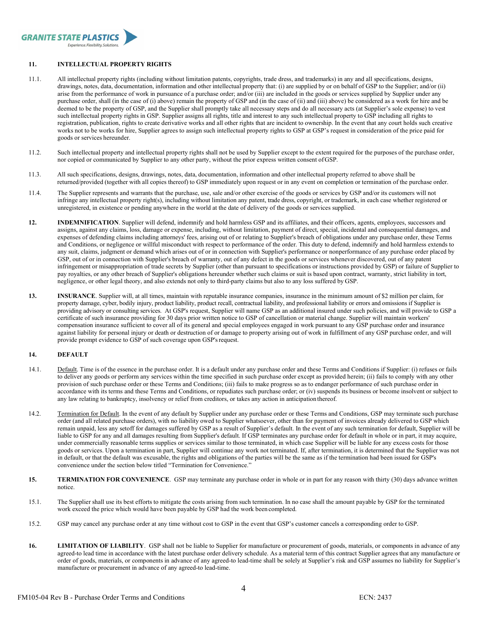

## 11. INTELLECTUAL PROPERTY RIGHTS

- 11.1. All intellectual property rights (including without limitation patents, copyrights, trade dress, and trademarks) in any and all specifications, designs, drawings, notes, data, documentation, information and other intellectual property that: (i) are supplied by or on behalf of GSP to the Supplier; and/or (ii) arise from the performance of work in pursuance of a purchase order; and/or (iii) are included in the goods or services supplied by Supplier under any purchase order, shall (in the case of (i) above) remain the property of GSP and (in the case of (ii) and (iii) above) be considered as a work for hire and be deemed to be the property of GSP, and the Supplier shall promptly take all necessary steps and do all necessary acts (at Supplier's sole expense) to vest such intellectual property rights in GSP. Supplier assigns all rights, title and interest to any such intellectual property to GSP including all rights to registration, publication, rights to create derivative works and all other rights that are incident to ownership. In the event that any court holds such creative works not to be works for hire, Supplier agrees to assign such intellectual property rights to GSP at GSP's request in consideration of the price paid for goods or services hereunder.
- 11.2. Such intellectual property and intellectual property rights shall not be used by Supplier except to the extent required for the purposes of the purchase order, nor copied or communicated by Supplier to any other party, without the prior express written consent of GSP.
- 11.3. All such specifications, designs, drawings, notes, data, documentation, information and other intellectual property referred to above shall be returned/provided (together with all copies thereof) to GSP immediately upon request or in any event on completion or termination of the purchase order.
- 11.4. The Supplier represents and warrants that the purchase, use, sale and/or other exercise of the goods or services by GSP and/or its customers will not infringe any intellectual property right(s), including without limitation any patent, trade dress, copyright, or trademark, in each case whether registered or unregistered, in existence or pending anywhere in the world at the date of delivery of the goods or services supplied.
- 12. INDEMNIFICATION. Supplier will defend, indemnify and hold harmless GSP and its affiliates, and their officers, agents, employees, successors and assigns, against any claims, loss, damage or expense, including, without limitation, payment of direct, special, incidental and consequential damages, and expenses of defending claims including attorneys' fees, arising out of or relating to Supplier's breach of obligations under any purchase order, these Terms and Conditions, or negligence or willful misconduct with respect to performance of the order. This duty to defend, indemnify and hold harmless extends to any suit, claims, judgment or demand which arises out of or in connection with Supplier's performance or nonperformance of any purchase order placed by GSP, out of or in connection with Supplier's breach of warranty, out of any defect in the goods or services whenever discovered, out of any patent infringement or misappropriation of trade secrets by Supplier (other than pursuant to specifications or instructions provided by GSP) or failure of Supplier to pay royalties, or any other breach of Supplier's obligations hereunder whether such claims or suit is based upon contract, warranty, strict liability in tort, negligence, or other legal theory, and also extends not only to third-party claims but also to any loss suffered by GSP.
- 13. INSURANCE. Supplier will, at all times, maintain with reputable insurance companies, insurance in the minimum amount of \$2 million per claim, for property damage, cyber, bodily injury, product liability, product recall, contractual liability, and professional liability or errors and omissions if Supplier is providing advisory or consulting services. At GSP's request, Supplier will name GSP as an additional insured under such policies, and will provide to GSP a certificate of such insurance providing for 30 days prior written notice to GSP of cancellation or material change. Supplier will maintain workers' compensation insurance sufficient to cover all of its general and special employees engaged in work pursuant to any GSP purchase order and insurance against liability for personal injury or death or destruction of or damage to property arising out of work in fulfillment of any GSP purchase order, and will provide prompt evidence to GSP of such coverage upon GSP's request.

#### 14. DEFAULT

- 14.1. Default. Time is of the essence in the purchase order. It is a default under any purchase order and these Terms and Conditions if Supplier: (i) refuses or fails to deliver any goods or perform any services within the time specified in such purchase order except as provided herein; (ii) fails to comply with any other provision of such purchase order or these Terms and Conditions; (iii) fails to make progress so as to endanger performance of such purchase order in accordance with its terms and these Terms and Conditions, or repudiates such purchase order; or (iv) suspends its business or become insolvent or subject to any law relating to bankruptcy, insolvency or relief from creditors, or takes any action in anticipation thereof.
- 14.2. Termination for Default. In the event of any default by Supplier under any purchase order or these Terms and Conditions, GSP may terminate such purchase order (and all related purchase orders), with no liability owed to Supplier whatsoever, other than for payment of invoices already delivered to GSP which remain unpaid, less any setoff for damages suffered by GSP as a result of Supplier's default. In the event of any such termination for default, Supplier will be liable to GSP for any and all damages resulting from Supplier's default. If GSP terminates any purchase order for default in whole or in part, it may acquire, under commercially reasonable terms supplies or services similar to those terminated, in which case Supplier will be liable for any excess costs for those goods or services. Upon a termination in part, Supplier will continue any work not terminated. If, after termination, it is determined that the Supplier was not in default, or that the default was excusable, the rights and obligations of the parties will be the same as if the termination had been issued for GSP's convenience under the section below titled "Termination for Convenience."
- 15. TERMINATION FOR CONVENIENCE. GSP may terminate any purchase order in whole or in part for any reason with thirty (30) days advance written notice.
- 15.1. The Supplier shall use its best efforts to mitigate the costs arising from such termination. In no case shall the amount payable by GSP for the terminated work exceed the price which would have been payable by GSP had the work been completed.
- 15.2. GSP may cancel any purchase order at any time without cost to GSP in the event that GSP's customer cancels a corresponding order to GSP.
- 16. LIMITATION OF LIABILITY. GSP shall not be liable to Supplier for manufacture or procurement of goods, materials, or components in advance of any agreed-to lead time in accordance with the latest purchase order delivery schedule. As a material term of this contract Supplier agrees that any manufacture or order of goods, materials, or components in advance of any agreed-to lead-time shall be solely at Supplier's risk and GSP assumes no liability for Supplier's manufacture or procurement in advance of any agreed-to lead-time.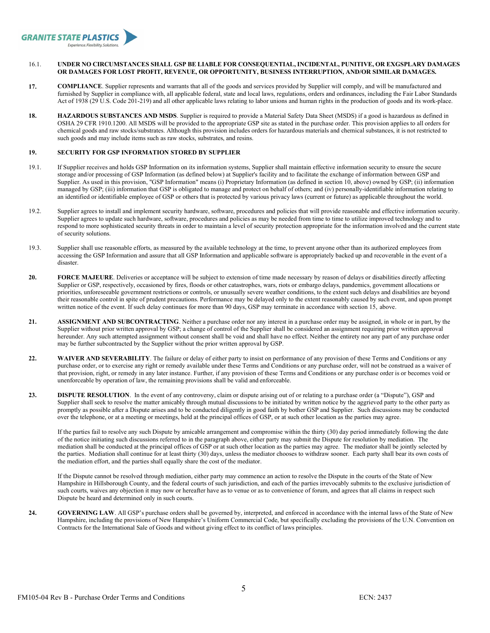

#### 16.1. UNDER NO CIRCUMSTANCES SHALL GSP BE LIABLE FOR CONSEQUENTIAL, INCIDENTAL, PUNITIVE, OR EXGSPLARY DAMAGES OR DAMAGES FOR LOST PROFIT, REVENUE, OR OPPORTUNITY, BUSINESS INTERRUPTION, AND/OR SIMILAR DAMAGES.

- 17. COMPLIANCE. Supplier represents and warrants that all of the goods and services provided by Supplier will comply, and will be manufactured and furnished by Supplier in compliance with, all applicable federal, state and local laws, regulations, orders and ordinances, including the Fair Labor Standards Act of 1938 (29 U.S. Code 201-219) and all other applicable laws relating to labor unions and human rights in the production of goods and its work-place.
- 18. HAZARDOUS SUBSTANCES AND MSDS. Supplier is required to provide a Material Safety Data Sheet (MSDS) if a good is hazardous as defined in OSHA 29 CFR 1910.1200. All MSDS will be provided to the appropriate GSP site as stated in the purchase order. This provision applies to all orders for chemical goods and raw stocks/substrates. Although this provision includes orders for hazardous materials and chemical substances, it is not restricted to such goods and may include items such as raw stocks, substrates, and resins.

#### 19. SECURITY FOR GSP INFORMATION STORED BY SUPPLIER

- 19.1. If Supplier receives and holds GSP Information on its information systems, Supplier shall maintain effective information security to ensure the secure storage and/or processing of GSP Information (as defined below) at Supplier's facility and to facilitate the exchange of information between GSP and Supplier. As used in this provision, "GSP Information" means (i) Proprietary Information (as defined in section 10, above) owned by GSP; (ii) information managed by GSP; (iii) information that GSP is obligated to manage and protect on behalf of others; and (iv) personally-identifiable information relating to an identified or identifiable employee of GSP or others that is protected by various privacy laws (current or future) as applicable throughout the world.
- 19.2. Supplier agrees to install and implement security hardware, software, procedures and policies that will provide reasonable and effective information security. Supplier agrees to update such hardware, software, procedures and policies as may be needed from time to time to utilize improved technology and to respond to more sophisticated security threats in order to maintain a level of security protection appropriate for the information involved and the current state of security solutions.
- 19.3. Supplier shall use reasonable efforts, as measured by the available technology at the time, to prevent anyone other than its authorized employees from accessing the GSP Information and assure that all GSP Information and applicable software is appropriately backed up and recoverable in the event of a disaster.
- 20. FORCE MAJEURE. Deliveries or acceptance will be subject to extension of time made necessary by reason of delays or disabilities directly affecting Supplier or GSP, respectively, occasioned by fires, floods or other catastrophes, wars, riots or embargo delays, pandemics, government allocations or priorities, unforeseeable government restrictions or controls, or unusually severe weather conditions, to the extent such delays and disabilities are beyond their reasonable control in spite of prudent precautions. Performance may be delayed only to the extent reasonably caused by such event, and upon prompt written notice of the event. If such delay continues for more than 90 days, GSP may terminate in accordance with section 15, above.
- 21. ASSIGNMENT AND SUBCONTRACTING. Neither a purchase order nor any interest in a purchase order may be assigned, in whole or in part, by the Supplier without prior written approval by GSP; a change of control of the Supplier shall be considered an assignment requiring prior written approval hereunder. Any such attempted assignment without consent shall be void and shall have no effect. Neither the entirety nor any part of any purchase order may be further subcontracted by the Supplier without the prior written approval by GSP.
- 22. WAIVER AND SEVERABILITY. The failure or delay of either party to insist on performance of any provision of these Terms and Conditions or any purchase order, or to exercise any right or remedy available under these Terms and Conditions or any purchase order, will not be construed as a waiver of that provision, right, or remedy in any later instance. Further, if any provision of these Terms and Conditions or any purchase order is or becomes void or unenforceable by operation of law, the remaining provisions shall be valid and enforceable.
- 23. DISPUTE RESOLUTION. In the event of any controversy, claim or dispute arising out of or relating to a purchase order (a "Dispute"), GSP and Supplier shall seek to resolve the matter amicably through mutual discussions to be initiated by written notice by the aggrieved party to the other party as promptly as possible after a Dispute arises and to be conducted diligently in good faith by bother GSP and Supplier. Such discussions may be conducted over the telephone, or at a meeting or meetings, held at the principal offices of GSP, or at such other location as the parties may agree.

If the parties fail to resolve any such Dispute by amicable arrangement and compromise within the thirty (30) day period immediately following the date of the notice initiating such discussions referred to in the paragraph above, either party may submit the Dispute for resolution by mediation. The mediation shall be conducted at the principal offices of GSP or at such other location as the parties may agree. The mediator shall be jointly selected by the parties. Mediation shall continue for at least thirty (30) days, unless the mediator chooses to withdraw sooner. Each party shall bear its own costs of the mediation effort, and the parties shall equally share the cost of the mediator.

If the Dispute cannot be resolved through mediation, either party may commence an action to resolve the Dispute in the courts of the State of New Hampshire in Hillsborough County, and the federal courts of such jurisdiction, and each of the parties irrevocably submits to the exclusive jurisdiction of such courts, waives any objection it may now or hereafter have as to venue or as to convenience of forum, and agrees that all claims in respect such Dispute be heard and determined only in such courts.

24. GOVERNING LAW. All GSP's purchase orders shall be governed by, interpreted, and enforced in accordance with the internal laws of the State of New Hampshire, including the provisions of New Hampshire's Uniform Commercial Code, but specifically excluding the provisions of the U.N. Convention on Contracts for the International Sale of Goods and without giving effect to its conflict of laws principles.